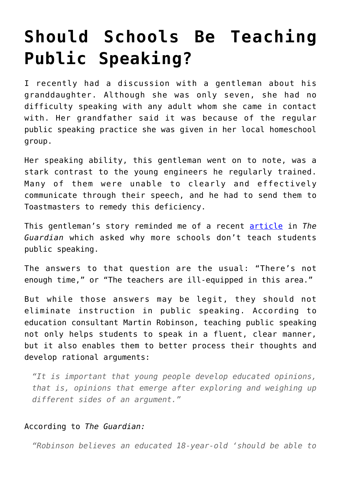## **[Should Schools Be Teaching](https://intellectualtakeout.org/2016/11/should-schools-be-teaching-public-speaking/) [Public Speaking?](https://intellectualtakeout.org/2016/11/should-schools-be-teaching-public-speaking/)**

I recently had a discussion with a gentleman about his granddaughter. Although she was only seven, she had no difficulty speaking with any adult whom she came in contact with. Her grandfather said it was because of the regular public speaking practice she was given in her local homeschool group.

Her speaking ability, this gentleman went on to note, was a stark contrast to the young engineers he regularly trained. Many of them were unable to clearly and effectively communicate through their speech, and he had to send them to Toastmasters to remedy this deficiency.

This gentleman's story reminded me of a recent [article](https://www.theguardian.com/education/2016/nov/08/why-dont-schools-focus-on-public-speaking-campaign) in *The Guardian* which asked why more schools don't teach students public speaking.

The answers to that question are the usual: "There's not enough time," or "The teachers are ill-equipped in this area."

But while those answers may be legit, they should not eliminate instruction in public speaking. According to education consultant Martin Robinson, teaching public speaking not only helps students to speak in a fluent, clear manner, but it also enables them to better process their thoughts and develop rational arguments:

*"It is important that young people develop educated opinions, that is, opinions that emerge after exploring and weighing up different sides of an argument."*

## According to *The Guardian:*

*"Robinson believes an educated 18-year-old 'should be able to*